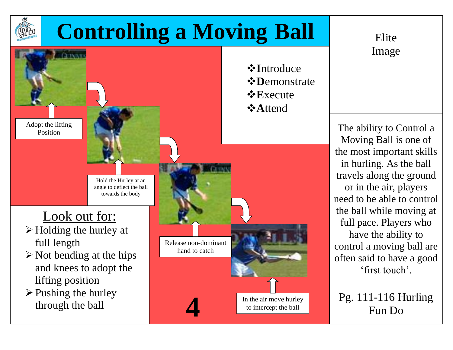

## **Controlling a Moving Ball** Elite



*<b>*∗Introduce *<b>☆Demonstrate* **E**xecute

Image

The ability to Control a Moving Ball is one of the most important skills in hurling. As the ball travels along the ground or in the air, players need to be able to control the ball while moving at full pace. Players who have the ability to control a moving ball are often said to have a good 'first touch'.

Pg. 111-116 Hurling **4** Fun Do